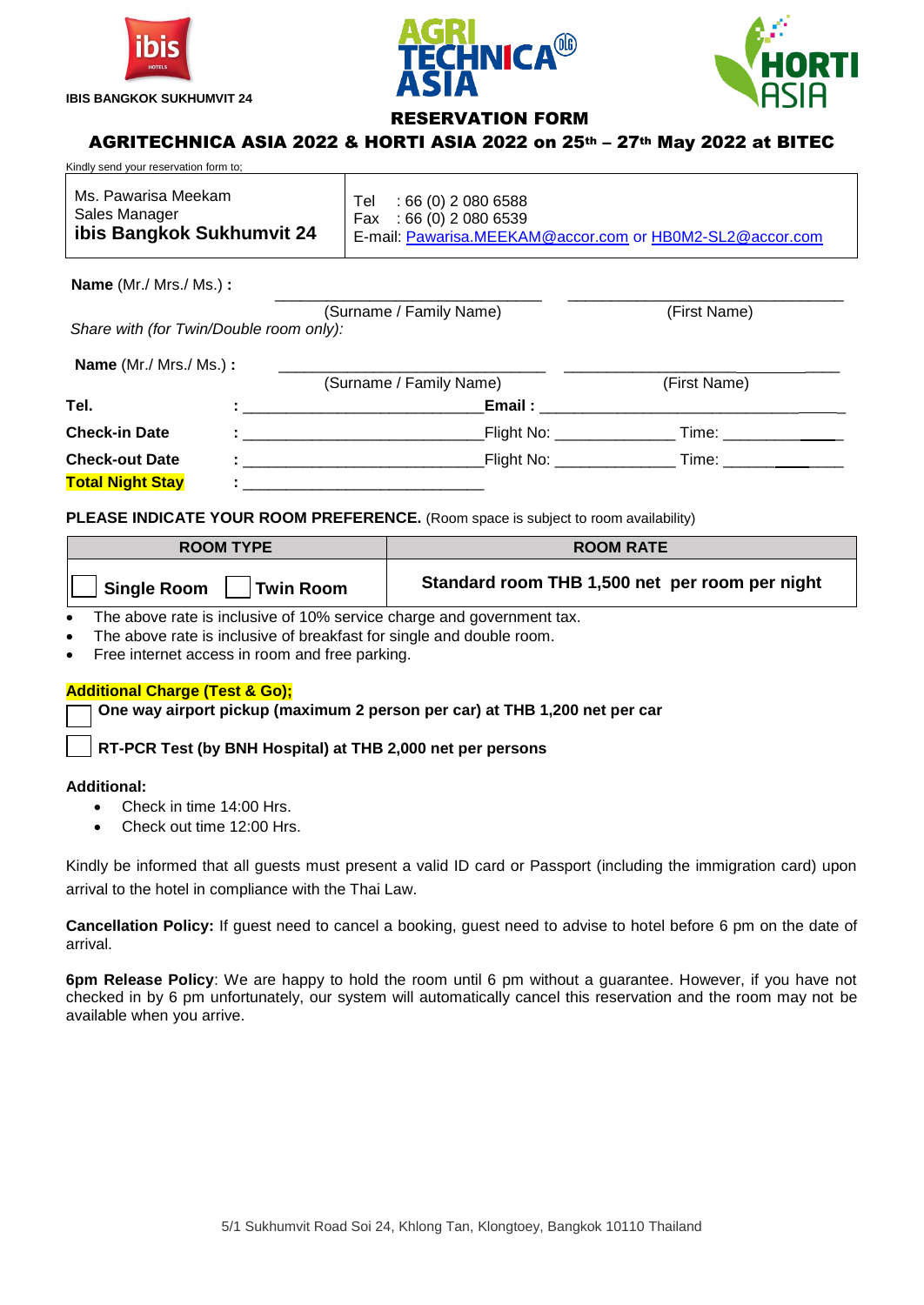





# RESERVATION FORM

\_\_\_\_\_\_\_\_\_\_\_\_\_\_\_\_\_\_\_\_\_\_\_\_\_\_\_\_\_\_\_ \_\_\_\_\_\_\_\_\_\_\_\_\_\_\_\_\_\_\_\_\_\_\_\_\_\_\_\_\_\_\_\_

# AGRITECHNICA ASIA 2022 & HORTI ASIA 2022 on 25th – 27th May 2022 at BITEC

| Kindly send your reservation form to: |                                                          |  |  |  |
|---------------------------------------|----------------------------------------------------------|--|--|--|
| Ms. Pawarisa Meekam                   | Tel : 66 (0) 2 080 6588                                  |  |  |  |
| Sales Manager                         | Fax: $66(0)$ 2 080 6539                                  |  |  |  |
| ibis Bangkok Sukhumvit 24             | E-mail: Pawarisa.MEEKAM@accor.com or HB0M2-SL2@accor.com |  |  |  |

**Name** (Mr./ Mrs./ Ms.) **:**

| (Surname / Family Name)<br>Share with (for Twin/Double room only): |  | (First Name)                                                                                                                                                                                                                                   |                                                                                                                                                                                                                               |  |
|--------------------------------------------------------------------|--|------------------------------------------------------------------------------------------------------------------------------------------------------------------------------------------------------------------------------------------------|-------------------------------------------------------------------------------------------------------------------------------------------------------------------------------------------------------------------------------|--|
|                                                                    |  |                                                                                                                                                                                                                                                |                                                                                                                                                                                                                               |  |
| Name (Mr./ Mrs./ Ms.) :                                            |  | (Surname / Family Name)                                                                                                                                                                                                                        | (First Name)                                                                                                                                                                                                                  |  |
| Tel.                                                               |  | Email:<br>$\blacksquare$ . The contract of the contract of the contract of the contract of the contract of the contract of the contract of the contract of the contract of the contract of the contract of the contract of the contract of the |                                                                                                                                                                                                                               |  |
| <b>Check-in Date</b>                                               |  | $F$ light No: $\sqrt{F}$<br>the contract of the contract of the contract of the contract of the contract of                                                                                                                                    | Time: will be a series of the series of the series of the series of the series of the series of the series of the series of the series of the series of the series of the series of the series of the series of the series of |  |
| <b>Check-out Date</b>                                              |  | _Flight No: ________________<br>The contract of the contract of the contract of the contract of                                                                                                                                                | Time: _______________                                                                                                                                                                                                         |  |
| <b>Total Night Stay</b>                                            |  |                                                                                                                                                                                                                                                |                                                                                                                                                                                                                               |  |

**PLEASE INDICATE YOUR ROOM PREFERENCE.** (Room space is subject to room availability)

| <b>ROOM TYPE</b>                       | <b>ROOM RATE</b>                               |
|----------------------------------------|------------------------------------------------|
| <b>Single Room</b><br><b>Twin Room</b> | Standard room THB 1,500 net per room per night |

• The above rate is inclusive of 10% service charge and government tax.

- The above rate is inclusive of breakfast for single and double room.
- Free internet access in room and free parking.

### **Additional Charge (Test & Go);**

**One way airport pickup (maximum 2 person per car) at THB 1,200 net per car**

**RT-PCR Test (by BNH Hospital) at THB 2,000 net per persons** 

### **Additional:**

- Check in time 14:00 Hrs.
- Check out time 12:00 Hrs.

Kindly be informed that all guests must present a valid ID card or Passport (including the immigration card) upon arrival to the hotel in compliance with the Thai Law.

**Cancellation Policy:** If guest need to cancel a booking, guest need to advise to hotel before 6 pm on the date of arrival.

**6pm Release Policy**: We are happy to hold the room until 6 pm without a guarantee. However, if you have not checked in by 6 pm unfortunately, our system will automatically cancel this reservation and the room may not be available when you arrive.